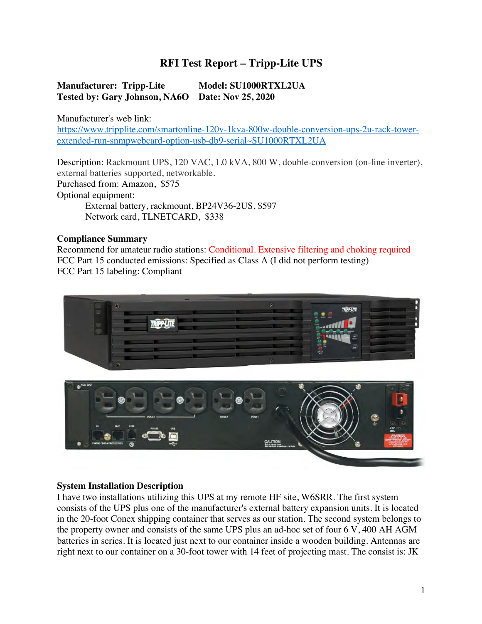# **RFI Test Report – Tripp-Lite UPS**

### **Manufacturer: Tripp-Lite Model: SU1000RTXL2UA Tested by: Gary Johnson, NA6O Date: Nov 25, 2020**

Manufacturer's web link:

https://www.tripplite.com/smartonline-120v-1kva-800w-double-conversion-ups-2u-rack-towerextended-run-snmpwebcard-option-usb-db9-serial~SU1000RTXL2UA

Description: Rackmount UPS, 120 VAC, 1.0 kVA, 800 W, double-conversion (on-line inverter), external batteries supported, networkable. Purchased from: Amazon, \$575 Optional equipment: External battery, rackmount, BP24V36-2US, \$597 Network card, TLNETCARD, \$338

### **Compliance Summary**

Recommend for amateur radio stations: Conditional. Extensive filtering and choking required FCC Part 15 conducted emissions: Specified as Class A (I did not perform testing) FCC Part 15 labeling: Compliant



#### **System Installation Description**

I have two installations utilizing this UPS at my remote HF site, W6SRR. The first system consists of the UPS plus one of the manufacturer's external battery expansion units. It is located in the 20-foot Conex shipping container that serves as our station. The second system belongs to the property owner and consists of the same UPS plus an ad-hoc set of four 6 V, 400 AH AGM batteries in series. It is located just next to our container inside a wooden building. Antennas are right next to our container on a 30-foot tower with 14 feet of projecting mast. The consist is: JK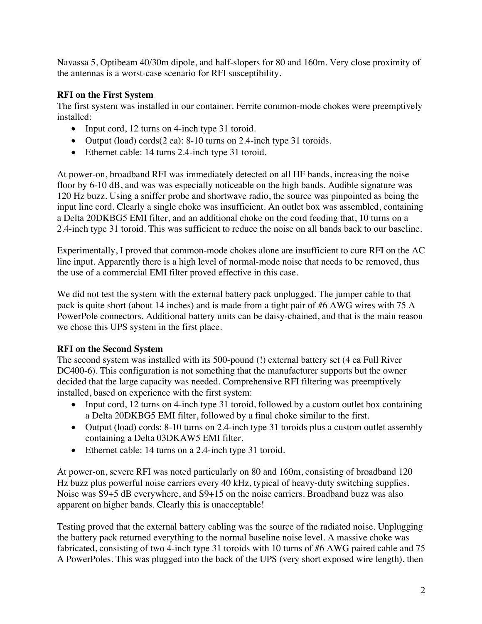Navassa 5, Optibeam 40/30m dipole, and half-slopers for 80 and 160m. Very close proximity of the antennas is a worst-case scenario for RFI susceptibility.

## **RFI on the First System**

The first system was installed in our container. Ferrite common-mode chokes were preemptively installed:

- Input cord, 12 turns on 4-inch type 31 toroid.
- Output (load) cords $(2 \text{ ea})$ : 8-10 turns on 2.4-inch type 31 toroids.
- Ethernet cable: 14 turns 2.4-inch type 31 toroid.

At power-on, broadband RFI was immediately detected on all HF bands, increasing the noise floor by 6-10 dB, and was was especially noticeable on the high bands. Audible signature was 120 Hz buzz. Using a sniffer probe and shortwave radio, the source was pinpointed as being the input line cord. Clearly a single choke was insufficient. An outlet box was assembled, containing a Delta 20DKBG5 EMI filter, and an additional choke on the cord feeding that, 10 turns on a 2.4-inch type 31 toroid. This was sufficient to reduce the noise on all bands back to our baseline.

Experimentally, I proved that common-mode chokes alone are insufficient to cure RFI on the AC line input. Apparently there is a high level of normal-mode noise that needs to be removed, thus the use of a commercial EMI filter proved effective in this case.

We did not test the system with the external battery pack unplugged. The jumper cable to that pack is quite short (about 14 inches) and is made from a tight pair of #6 AWG wires with 75 A PowerPole connectors. Additional battery units can be daisy-chained, and that is the main reason we chose this UPS system in the first place.

# **RFI on the Second System**

The second system was installed with its 500-pound (!) external battery set (4 ea Full River DC400-6). This configuration is not something that the manufacturer supports but the owner decided that the large capacity was needed. Comprehensive RFI filtering was preemptively installed, based on experience with the first system:

- Input cord, 12 turns on 4-inch type 31 toroid, followed by a custom outlet box containing a Delta 20DKBG5 EMI filter, followed by a final choke similar to the first.
- Output (load) cords: 8-10 turns on 2.4-inch type 31 toroids plus a custom outlet assembly containing a Delta 03DKAW5 EMI filter.
- Ethernet cable: 14 turns on a 2.4-inch type 31 toroid.

At power-on, severe RFI was noted particularly on 80 and 160m, consisting of broadband 120 Hz buzz plus powerful noise carriers every 40 kHz, typical of heavy-duty switching supplies. Noise was S9+5 dB everywhere, and S9+15 on the noise carriers. Broadband buzz was also apparent on higher bands. Clearly this is unacceptable!

Testing proved that the external battery cabling was the source of the radiated noise. Unplugging the battery pack returned everything to the normal baseline noise level. A massive choke was fabricated, consisting of two 4-inch type 31 toroids with 10 turns of #6 AWG paired cable and 75 A PowerPoles. This was plugged into the back of the UPS (very short exposed wire length), then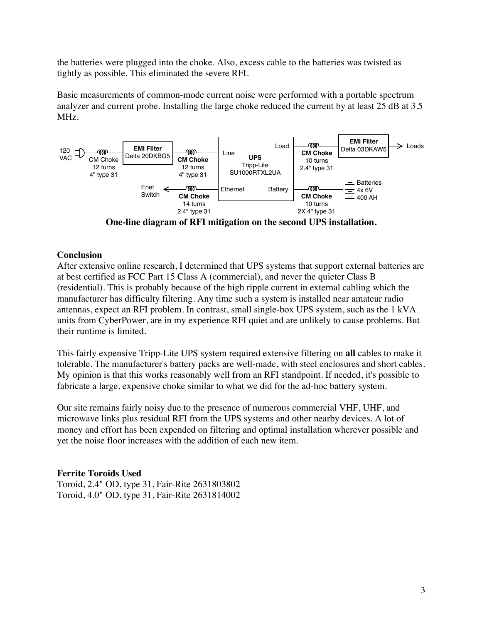the batteries were plugged into the choke. Also, excess cable to the batteries was twisted as tightly as possible. This eliminated the severe RFI.

Basic measurements of common-mode current noise were performed with a portable spectrum analyzer and current probe. Installing the large choke reduced the current by at least 25 dB at 3.5 MHz.



**One-line diagram of RFI mitigation on the second UPS installation.**

#### **Conclusion**

After extensive online research, I determined that UPS systems that support external batteries are at best certified as FCC Part 15 Class A (commercial), and never the quieter Class B (residential). This is probably because of the high ripple current in external cabling which the manufacturer has difficulty filtering. Any time such a system is installed near amateur radio antennas, expect an RFI problem. In contrast, small single-box UPS system, such as the 1 kVA units from CyberPower, are in my experience RFI quiet and are unlikely to cause problems. But their runtime is limited.

This fairly expensive Tripp-Lite UPS system required extensive filtering on **all** cables to make it tolerable. The manufacturer's battery packs are well-made, with steel enclosures and short cables. My opinion is that this works reasonably well from an RFI standpoint. If needed, it's possible to fabricate a large, expensive choke similar to what we did for the ad-hoc battery system.

Our site remains fairly noisy due to the presence of numerous commercial VHF, UHF, and microwave links plus residual RFI from the UPS systems and other nearby devices. A lot of money and effort has been expended on filtering and optimal installation wherever possible and yet the noise floor increases with the addition of each new item.

### **Ferrite Toroids Used**

Toroid, 2.4" OD, type 31, Fair-Rite 2631803802 Toroid, 4.0" OD, type 31, Fair-Rite 2631814002